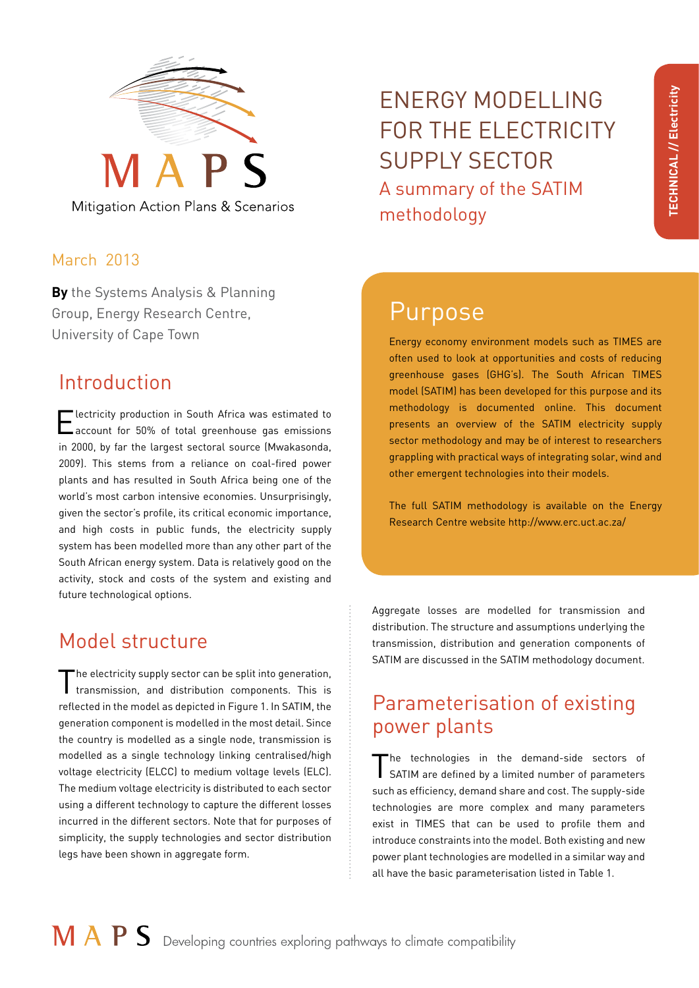

Mitigation Action Plans & Scenarios

#### March 2013

**By** the Systems Analysis & Planning Group, Energy Research Centre, University of Cape Town Energy economy environment models such as TIMES are

## Introduction

**Electricity production in South Africa was estimated to** account for 50% of total greenhouse gas emissions in 2000, by far the largest sectoral source (Mwakasonda, 2009). This stems from a reliance on coal-fired power plants and has resulted in South Africa being one of the world's most carbon intensive economies. Unsurprisingly, given the sector's profile, its critical economic importance, and high costs in public funds, the electricity supply system has been modelled more than any other part of the South African energy system. Data is relatively good on the activity, stock and costs of the system and existing and future technological options.

## Model structure

The electricity supply sector can be split into generation, transmission, and distribution components. This is reflected in the model as depicted in Figure 1. In SATIM, the generation component is modelled in the most detail. Since the country is modelled as a single node, transmission is modelled as a single technology linking centralised/high voltage electricity (ELCC) to medium voltage levels (ELC). The medium voltage electricity is distributed to each sector using a different technology to capture the different losses incurred in the different sectors. Note that for purposes of simplicity, the supply technologies and sector distribution legs have been shown in aggregate form.

ENERGY MODELLING FOR THE ELECTRICITY SUPPLY SECTOR A summary of the SATIM methodology

# Purpose

often used to look at opportunities and costs of reducing greenhouse gases (GHG's). The South African TIMES model (SATIM) has been developed for this purpose and its methodology is documented online. This document presents an overview of the SATIM electricity supply sector methodology and may be of interest to researchers grappling with practical ways of integrating solar, wind and other emergent technologies into their models.

The full SATIM methodology is available on the Energy Research Centre website [http://www.erc.uct.ac.za/]( http://www.erc.uct.ac.za/ )

Aggregate losses are modelled for transmission and distribution. The structure and assumptions underlying the transmission, distribution and generation components of SATIM are discussed in the SATIM methodology document.

## Parameterisation of existing power plants

The technologies in the demand-side sectors of SATIM are defined by a limited number of parameters such as efficiency, demand share and cost. The supply-side technologies are more complex and many parameters exist in TIMES that can be used to profile them and introduce constraints into the model. Both existing and new power plant technologies are modelled in a similar way and all have the basic parameterisation listed in Table 1.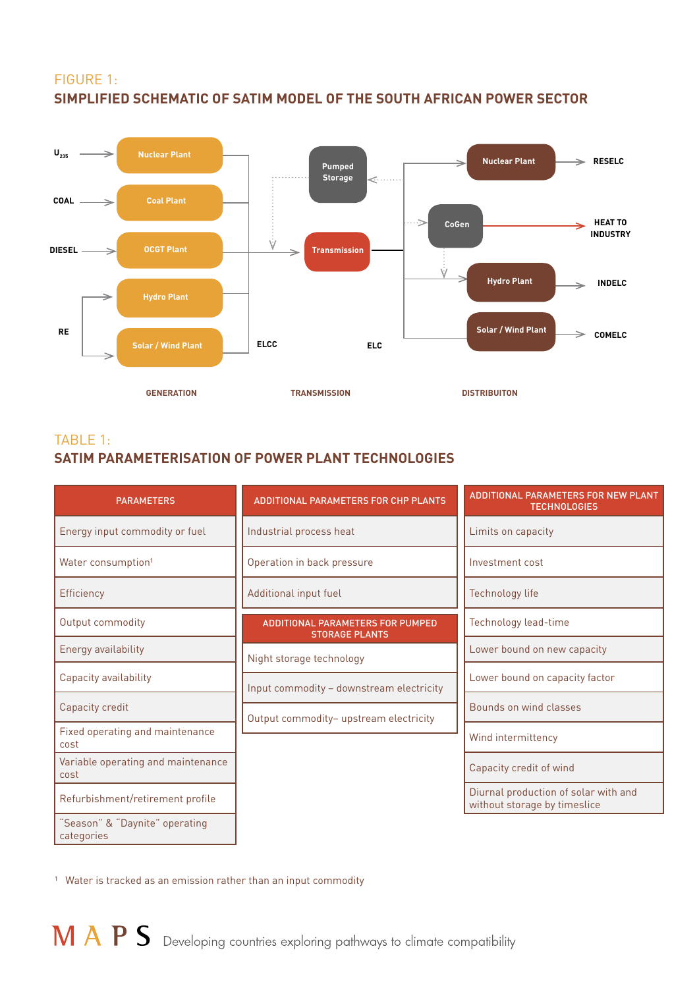#### FIGURE 1: **SIMPLIFIED SCHEMATIC OF SATIM MODEL OF THE SOUTH AFRICAN POWER SECTOR**



#### TABLE 1: **SATIM PARAMETERISATION OF POWER PLANT TECHNOLOGIES**

| <b>PARAMETERS</b>                            | <b>ADDITIONAL PARAMETERS FOR CHP PLANTS</b>                      | <b>ADDITIONAL PARAMETERS FOR NEW PLANT</b><br><b>TECHNOLOGIES</b>    |
|----------------------------------------------|------------------------------------------------------------------|----------------------------------------------------------------------|
| Energy input commodity or fuel               | Industrial process heat                                          | Limits on capacity                                                   |
| Water consumption <sup>1</sup>               | Operation in back pressure                                       | Investment cost                                                      |
| Efficiency                                   | Additional input fuel                                            | <b>Technology life</b>                                               |
| Output commodity                             | <b>ADDITIONAL PARAMETERS FOR PUMPED</b><br><b>STORAGE PLANTS</b> | Technology lead-time                                                 |
| <b>Energy availability</b>                   | Night storage technology                                         | Lower bound on new capacity                                          |
| Capacity availability                        | Input commodity - downstream electricity                         | Lower bound on capacity factor                                       |
| Capacity credit                              | Output commodity- upstream electricity                           | Bounds on wind classes                                               |
| Fixed operating and maintenance<br>cost      |                                                                  | Wind intermittency                                                   |
| Variable operating and maintenance<br>cost   |                                                                  | Capacity credit of wind                                              |
| Refurbishment/retirement profile             |                                                                  | Diurnal production of solar with and<br>without storage by timeslice |
| "Season" & "Daynite" operating<br>categories |                                                                  |                                                                      |

<sup>1</sup> Water is tracked as an emission rather than an input commodity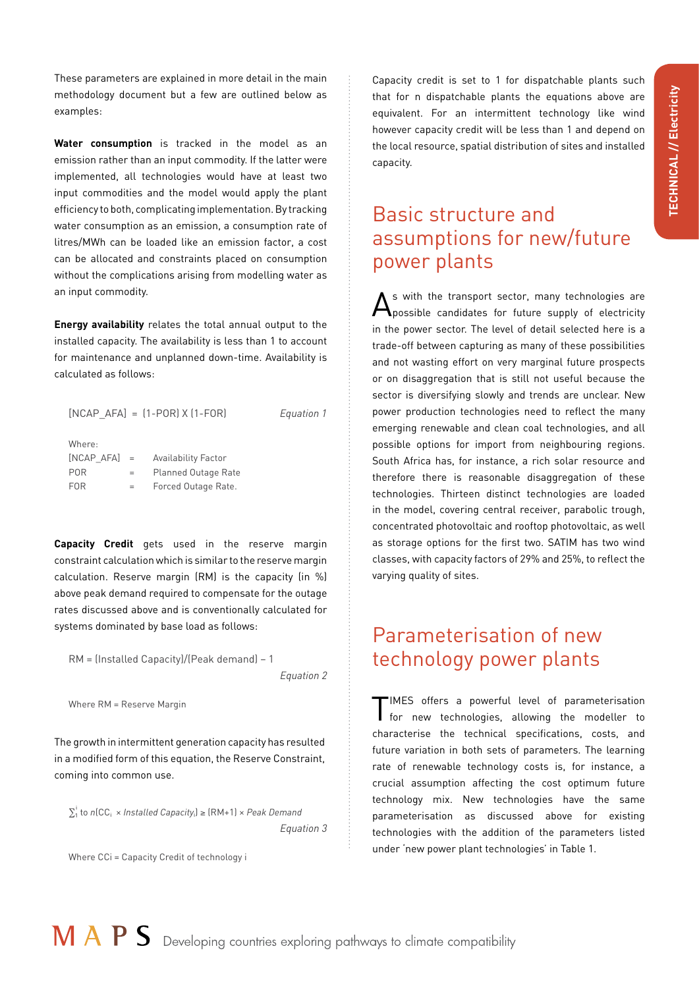These parameters are explained in more detail in the main methodology document but a few are outlined below as examples:

**Water consumption** is tracked in the model as an emission rather than an input commodity. If the latter were implemented, all technologies would have at least two input commodities and the model would apply the plant efficiency to both, complicating implementation. By tracking water consumption as an emission, a consumption rate of litres/MWh can be loaded like an emission factor, a cost can be allocated and constraints placed on consumption without the complications arising from modelling water as an input commodity.

**Energy availability** relates the total annual output to the installed capacity. The availability is less than 1 to account for maintenance and unplanned down-time. Availability is calculated as follows:

|            |     | $[NCAP_AFA] = [1-POR] \times [1-FOR]$ | Equation 1 |
|------------|-----|---------------------------------------|------------|
| Where:     |     |                                       |            |
|            |     | [NCAP AFA] = Availability Factor      |            |
| <b>POR</b> | $=$ | <b>Planned Outage Rate</b>            |            |
| <b>FOR</b> | $=$ | Forced Outage Rate.                   |            |
|            |     |                                       |            |

**Capacity Credit** gets used in the reserve margin constraint calculation which is similar to the reserve margin calculation. Reserve margin (RM) is the capacity (in %) above peak demand required to compensate for the outage rates discussed above and is conventionally calculated for systems dominated by base load as follows:

RM = (Installed Capacity)/(Peak demand) – 1

*Equation 2*

Where RM = Reserve Margin

The growth in intermittent generation capacity has resulted in a modified form of this equation, the Reserve Constraint, coming into common use.

 $\sum_{1}^{i}$  to *n*(CC<sub>i</sub> × *Installed Capacity*<sub>i</sub>) ≥ (RM+1) × *Peak Demand Equation 3*

Where CCi = Capacity Credit of technology i

Capacity credit is set to 1 for dispatchable plants such that for n dispatchable plants the equations above are equivalent. For an intermittent technology like wind however capacity credit will be less than 1 and depend on the local resource, spatial distribution of sites and installed capacity.

## Basic structure and assumptions for new/future power plants

 $\mathbf{A}$ s with the transport sector, many technologies are possible candidates for future supply of electricity in the power sector. The level of detail selected here is a trade-off between capturing as many of these possibilities and not wasting effort on very marginal future prospects or on disaggregation that is still not useful because the sector is diversifying slowly and trends are unclear. New power production technologies need to reflect the many emerging renewable and clean coal technologies, and all possible options for import from neighbouring regions. South Africa has, for instance, a rich solar resource and therefore there is reasonable disaggregation of these technologies. Thirteen distinct technologies are loaded in the model, covering central receiver, parabolic trough, concentrated photovoltaic and rooftop photovoltaic, as well as storage options for the first two. SATIM has two wind classes, with capacity factors of 29% and 25%, to reflect the varying quality of sites.

### Parameterisation of new technology power plants

TIMES offers a powerful level of parameterisation for new technologies, allowing the modeller to characterise the technical specifications, costs, and future variation in both sets of parameters. The learning rate of renewable technology costs is, for instance, a crucial assumption affecting the cost optimum future technology mix. New technologies have the same parameterisation as discussed above for existing technologies with the addition of the parameters listed under 'new power plant technologies' in Table 1.